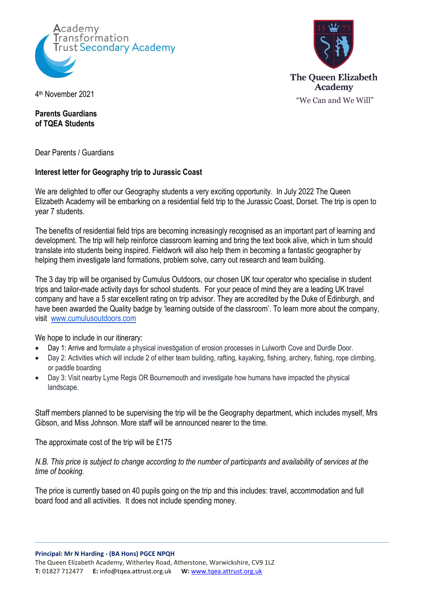



th November 2021

## **Parents Guardians of TQEA Students**

Dear Parents / Guardians

## **Interest letter for Geography trip to Jurassic Coast**

We are delighted to offer our Geography students a very exciting opportunity. In July 2022 The Queen Elizabeth Academy will be embarking on a residential field trip to the Jurassic Coast, Dorset. The trip is open to year 7 students.

The benefits of residential field trips are becoming increasingly recognised as an important part of learning and development. The trip will help reinforce classroom learning and bring the text book alive, which in turn should translate into students being inspired. Fieldwork will also help them in becoming a fantastic geographer by helping them investigate land formations, problem solve, carry out research and team building.

The 3 day trip will be organised by Cumulus Outdoors, our chosen UK tour operator who specialise in student trips and tailor-made activity days for school students. For your peace of mind they are a leading UK travel company and have a 5 star excellent rating on trip advisor. They are accredited by the Duke of Edinburgh, and have been awarded the Quality badge by 'learning outside of the classroom'. To learn more about the company, visit [www.cumulusoutdoors.com](https://www.cumulusoutdoors.com/)

We hope to include in our itinerary:

- Day 1: Arrive and formulate a physical investigation of erosion processes in Lulworth Cove and Durdle Door.
- Day 2: Activities which will include 2 of either team building, rafting, kayaking, fishing, archery, fishing, rope climbing, or paddle boarding
- Day 3: Visit nearby Lyme Regis OR Bournemouth and investigate how humans have impacted the physical landscape.

Staff members planned to be supervising the trip will be the Geography department, which includes myself, Mrs Gibson, and Miss Johnson. More staff will be announced nearer to the time.

The approximate cost of the trip will be £175

*N.B. This price is subject to change according to the number of participants and availability of services at the time of booking.*

The price is currently based on 40 pupils going on the trip and this includes: travel, accommodation and full board food and all activities. It does not include spending money.